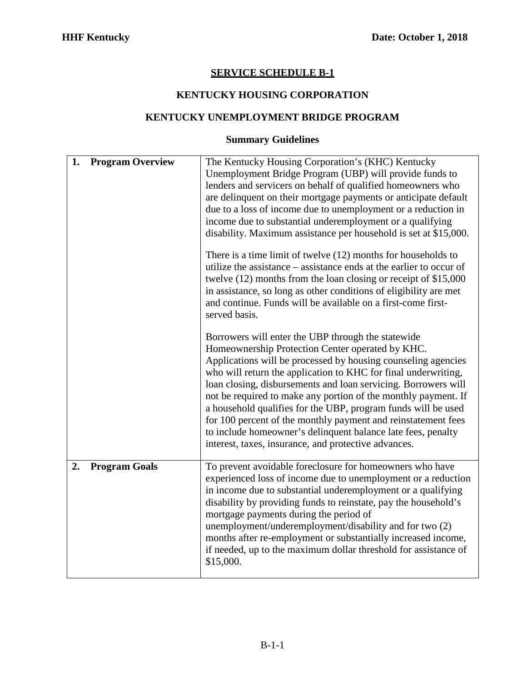# **SERVICE SCHEDULE B-1**

# **KENTUCKY HOUSING CORPORATION**

#### **KENTUCKY UNEMPLOYMENT BRIDGE PROGRAM**

#### **Summary Guidelines**

| 1. | <b>Program Overview</b> | The Kentucky Housing Corporation's (KHC) Kentucky<br>Unemployment Bridge Program (UBP) will provide funds to<br>lenders and servicers on behalf of qualified homeowners who<br>are delinquent on their mortgage payments or anticipate default<br>due to a loss of income due to unemployment or a reduction in<br>income due to substantial underemployment or a qualifying<br>disability. Maximum assistance per household is set at \$15,000.<br>There is a time limit of twelve $(12)$ months for households to<br>utilize the assistance – assistance ends at the earlier to occur of<br>twelve (12) months from the loan closing or receipt of \$15,000<br>in assistance, so long as other conditions of eligibility are met<br>and continue. Funds will be available on a first-come first-<br>served basis. |
|----|-------------------------|---------------------------------------------------------------------------------------------------------------------------------------------------------------------------------------------------------------------------------------------------------------------------------------------------------------------------------------------------------------------------------------------------------------------------------------------------------------------------------------------------------------------------------------------------------------------------------------------------------------------------------------------------------------------------------------------------------------------------------------------------------------------------------------------------------------------|
|    |                         | Borrowers will enter the UBP through the statewide<br>Homeownership Protection Center operated by KHC.<br>Applications will be processed by housing counseling agencies<br>who will return the application to KHC for final underwriting,<br>loan closing, disbursements and loan servicing. Borrowers will<br>not be required to make any portion of the monthly payment. If<br>a household qualifies for the UBP, program funds will be used<br>for 100 percent of the monthly payment and reinstatement fees<br>to include homeowner's delinquent balance late fees, penalty<br>interest, taxes, insurance, and protective advances.                                                                                                                                                                             |
| 2. | <b>Program Goals</b>    | To prevent avoidable foreclosure for homeowners who have<br>experienced loss of income due to unemployment or a reduction<br>in income due to substantial underemployment or a qualifying<br>disability by providing funds to reinstate, pay the household's<br>mortgage payments during the period of<br>unemployment/underemployment/disability and for two (2)<br>months after re-employment or substantially increased income,<br>if needed, up to the maximum dollar threshold for assistance of<br>\$15,000.                                                                                                                                                                                                                                                                                                  |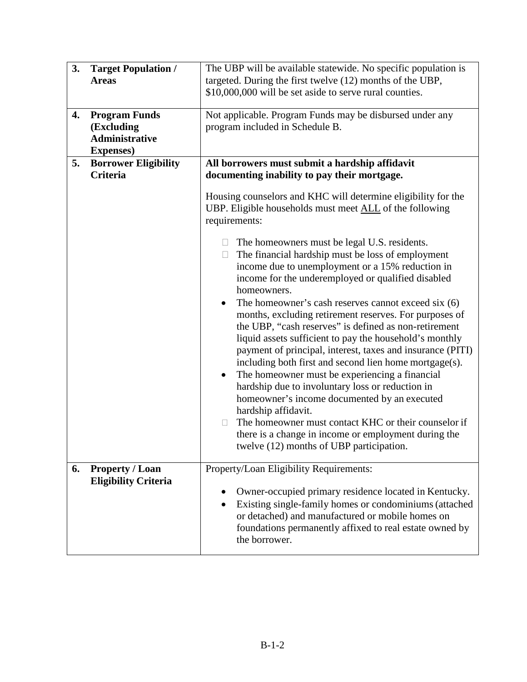| 3. | <b>Target Population /</b><br><b>Areas</b>                                       | The UBP will be available statewide. No specific population is<br>targeted. During the first twelve (12) months of the UBP,<br>\$10,000,000 will be set aside to serve rural counties.                                                                                                                                                                                                                                                                                                                                                                                                                                                                                                                                                                                                                                                                                                                                                                       |  |
|----|----------------------------------------------------------------------------------|--------------------------------------------------------------------------------------------------------------------------------------------------------------------------------------------------------------------------------------------------------------------------------------------------------------------------------------------------------------------------------------------------------------------------------------------------------------------------------------------------------------------------------------------------------------------------------------------------------------------------------------------------------------------------------------------------------------------------------------------------------------------------------------------------------------------------------------------------------------------------------------------------------------------------------------------------------------|--|
| 4. | <b>Program Funds</b><br>(Excluding<br><b>Administrative</b><br><b>Expenses</b> ) | Not applicable. Program Funds may be disbursed under any<br>program included in Schedule B.                                                                                                                                                                                                                                                                                                                                                                                                                                                                                                                                                                                                                                                                                                                                                                                                                                                                  |  |
| 5. | <b>Borrower Eligibility</b><br><b>Criteria</b>                                   | All borrowers must submit a hardship affidavit<br>documenting inability to pay their mortgage.                                                                                                                                                                                                                                                                                                                                                                                                                                                                                                                                                                                                                                                                                                                                                                                                                                                               |  |
|    |                                                                                  | Housing counselors and KHC will determine eligibility for the<br>UBP. Eligible households must meet <b>ALL</b> of the following<br>requirements:                                                                                                                                                                                                                                                                                                                                                                                                                                                                                                                                                                                                                                                                                                                                                                                                             |  |
|    |                                                                                  | The homeowners must be legal U.S. residents.<br>The financial hardship must be loss of employment<br>□<br>income due to unemployment or a 15% reduction in<br>income for the underemployed or qualified disabled<br>homeowners.<br>The homeowner's cash reserves cannot exceed six (6)<br>months, excluding retirement reserves. For purposes of<br>the UBP, "cash reserves" is defined as non-retirement<br>liquid assets sufficient to pay the household's monthly<br>payment of principal, interest, taxes and insurance (PITI)<br>including both first and second lien home mortgage(s).<br>The homeowner must be experiencing a financial<br>$\bullet$<br>hardship due to involuntary loss or reduction in<br>homeowner's income documented by an executed<br>hardship affidavit.<br>The homeowner must contact KHC or their counselor if<br>$\Box$<br>there is a change in income or employment during the<br>twelve (12) months of UBP participation. |  |
| 6. | <b>Property / Loan</b><br><b>Eligibility Criteria</b>                            | Property/Loan Eligibility Requirements:<br>Owner-occupied primary residence located in Kentucky.<br>$\bullet$<br>Existing single-family homes or condominiums (attached<br>٠<br>or detached) and manufactured or mobile homes on<br>foundations permanently affixed to real estate owned by<br>the borrower.                                                                                                                                                                                                                                                                                                                                                                                                                                                                                                                                                                                                                                                 |  |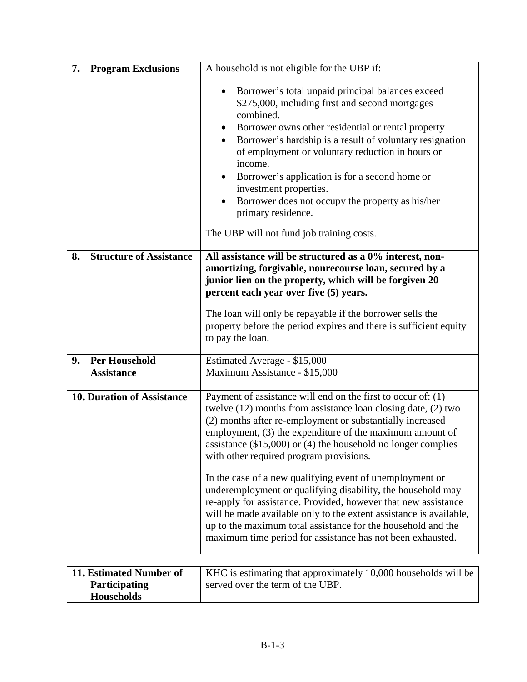| 7.<br><b>Program Exclusions</b>                 | A household is not eligible for the UBP if:                                                                                                                                                                                                                                                                                                                                                                                                                                                                                                                                                                                                                                                                 |
|-------------------------------------------------|-------------------------------------------------------------------------------------------------------------------------------------------------------------------------------------------------------------------------------------------------------------------------------------------------------------------------------------------------------------------------------------------------------------------------------------------------------------------------------------------------------------------------------------------------------------------------------------------------------------------------------------------------------------------------------------------------------------|
|                                                 | Borrower's total unpaid principal balances exceed<br>٠<br>\$275,000, including first and second mortgages<br>combined.<br>Borrower owns other residential or rental property<br>٠<br>Borrower's hardship is a result of voluntary resignation<br>٠<br>of employment or voluntary reduction in hours or<br>income.<br>Borrower's application is for a second home or<br>$\bullet$<br>investment properties.<br>Borrower does not occupy the property as his/her<br>$\bullet$<br>primary residence.<br>The UBP will not fund job training costs.                                                                                                                                                              |
| <b>Structure of Assistance</b><br>8.            | All assistance will be structured as a 0% interest, non-                                                                                                                                                                                                                                                                                                                                                                                                                                                                                                                                                                                                                                                    |
|                                                 | amortizing, forgivable, nonrecourse loan, secured by a<br>junior lien on the property, which will be forgiven 20<br>percent each year over five (5) years.                                                                                                                                                                                                                                                                                                                                                                                                                                                                                                                                                  |
|                                                 | The loan will only be repayable if the borrower sells the                                                                                                                                                                                                                                                                                                                                                                                                                                                                                                                                                                                                                                                   |
|                                                 | property before the period expires and there is sufficient equity<br>to pay the loan.                                                                                                                                                                                                                                                                                                                                                                                                                                                                                                                                                                                                                       |
|                                                 |                                                                                                                                                                                                                                                                                                                                                                                                                                                                                                                                                                                                                                                                                                             |
| <b>Per Household</b><br>9.<br><b>Assistance</b> | Estimated Average - \$15,000<br>Maximum Assistance - \$15,000                                                                                                                                                                                                                                                                                                                                                                                                                                                                                                                                                                                                                                               |
| <b>10. Duration of Assistance</b>               | Payment of assistance will end on the first to occur of: $(1)$<br>twelve (12) months from assistance loan closing date, (2) two<br>(2) months after re-employment or substantially increased<br>employment, (3) the expenditure of the maximum amount of<br>assistance $(\$15,000)$ or $(4)$ the household no longer complies<br>with other required program provisions.<br>In the case of a new qualifying event of unemployment or<br>underemployment or qualifying disability, the household may<br>re-apply for assistance. Provided, however that new assistance<br>will be made available only to the extent assistance is available,<br>up to the maximum total assistance for the household and the |
|                                                 | maximum time period for assistance has not been exhausted.                                                                                                                                                                                                                                                                                                                                                                                                                                                                                                                                                                                                                                                  |
| 11. Estimated Number of                         | KHC is estimating that approximately 10,000 households will be                                                                                                                                                                                                                                                                                                                                                                                                                                                                                                                                                                                                                                              |
| Participating<br><b>Households</b>              | served over the term of the UBP.                                                                                                                                                                                                                                                                                                                                                                                                                                                                                                                                                                                                                                                                            |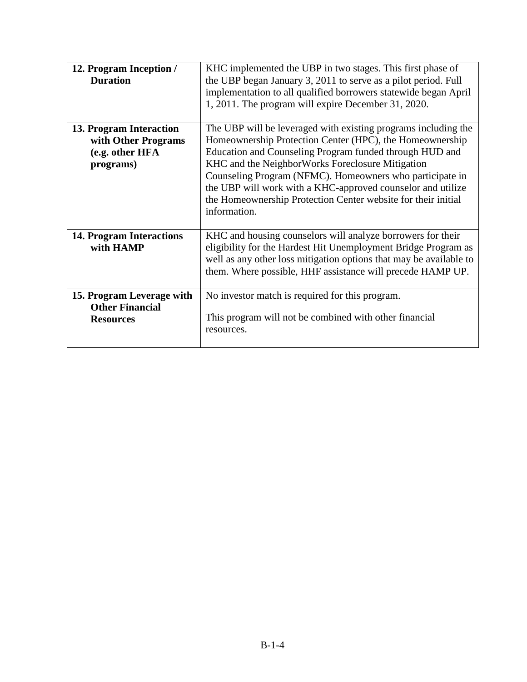| 12. Program Inception /         | KHC implemented the UBP in two stages. This first phase of         |  |
|---------------------------------|--------------------------------------------------------------------|--|
| <b>Duration</b>                 | the UBP began January 3, 2011 to serve as a pilot period. Full     |  |
|                                 | implementation to all qualified borrowers statewide began April    |  |
|                                 | 1, 2011. The program will expire December 31, 2020.                |  |
|                                 |                                                                    |  |
| 13. Program Interaction         | The UBP will be leveraged with existing programs including the     |  |
| with Other Programs             | Homeownership Protection Center (HPC), the Homeownership           |  |
| (e.g. other HFA                 | Education and Counseling Program funded through HUD and            |  |
| programs)                       | KHC and the NeighborWorks Foreclosure Mitigation                   |  |
|                                 | Counseling Program (NFMC). Homeowners who participate in           |  |
|                                 | the UBP will work with a KHC-approved counselor and utilize        |  |
|                                 | the Homeownership Protection Center website for their initial      |  |
|                                 | information.                                                       |  |
|                                 |                                                                    |  |
| <b>14. Program Interactions</b> | KHC and housing counselors will analyze borrowers for their        |  |
| with HAMP                       | eligibility for the Hardest Hit Unemployment Bridge Program as     |  |
|                                 | well as any other loss mitigation options that may be available to |  |
|                                 | them. Where possible, HHF assistance will precede HAMP UP.         |  |
|                                 |                                                                    |  |
| 15. Program Leverage with       | No investor match is required for this program.                    |  |
| <b>Other Financial</b>          |                                                                    |  |
| <b>Resources</b>                | This program will not be combined with other financial             |  |
|                                 | resources.                                                         |  |
|                                 |                                                                    |  |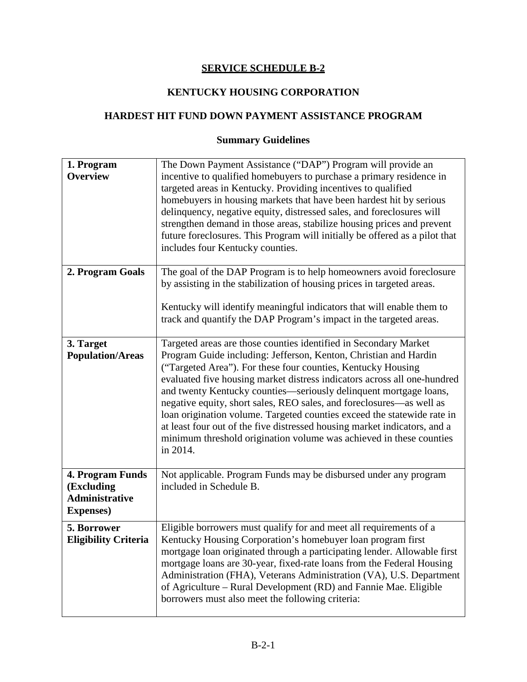#### **SERVICE SCHEDULE B-2**

#### **KENTUCKY HOUSING CORPORATION**

#### **HARDEST HIT FUND DOWN PAYMENT ASSISTANCE PROGRAM**

# **Summary Guidelines**

| 1. Program<br><b>Overview</b>                                                | The Down Payment Assistance ("DAP") Program will provide an<br>incentive to qualified homebuyers to purchase a primary residence in<br>targeted areas in Kentucky. Providing incentives to qualified<br>homebuyers in housing markets that have been hardest hit by serious<br>delinquency, negative equity, distressed sales, and foreclosures will<br>strengthen demand in those areas, stabilize housing prices and prevent<br>future foreclosures. This Program will initially be offered as a pilot that<br>includes four Kentucky counties.                                                                                                                        |
|------------------------------------------------------------------------------|--------------------------------------------------------------------------------------------------------------------------------------------------------------------------------------------------------------------------------------------------------------------------------------------------------------------------------------------------------------------------------------------------------------------------------------------------------------------------------------------------------------------------------------------------------------------------------------------------------------------------------------------------------------------------|
| 2. Program Goals                                                             | The goal of the DAP Program is to help homeowners avoid foreclosure<br>by assisting in the stabilization of housing prices in targeted areas.<br>Kentucky will identify meaningful indicators that will enable them to<br>track and quantify the DAP Program's impact in the targeted areas.                                                                                                                                                                                                                                                                                                                                                                             |
| 3. Target<br><b>Population/Areas</b>                                         | Targeted areas are those counties identified in Secondary Market<br>Program Guide including: Jefferson, Kenton, Christian and Hardin<br>("Targeted Area"). For these four counties, Kentucky Housing<br>evaluated five housing market distress indicators across all one-hundred<br>and twenty Kentucky counties—seriously delinquent mortgage loans,<br>negative equity, short sales, REO sales, and foreclosures—as well as<br>loan origination volume. Targeted counties exceed the statewide rate in<br>at least four out of the five distressed housing market indicators, and a<br>minimum threshold origination volume was achieved in these counties<br>in 2014. |
| 4. Program Funds<br>(Excluding<br><b>Administrative</b><br><b>Expenses</b> ) | Not applicable. Program Funds may be disbursed under any program<br>included in Schedule B.                                                                                                                                                                                                                                                                                                                                                                                                                                                                                                                                                                              |
| 5. Borrower<br><b>Eligibility Criteria</b>                                   | Eligible borrowers must qualify for and meet all requirements of a<br>Kentucky Housing Corporation's homebuyer loan program first<br>mortgage loan originated through a participating lender. Allowable first<br>mortgage loans are 30-year, fixed-rate loans from the Federal Housing<br>Administration (FHA), Veterans Administration (VA), U.S. Department<br>of Agriculture - Rural Development (RD) and Fannie Mae. Eligible<br>borrowers must also meet the following criteria:                                                                                                                                                                                    |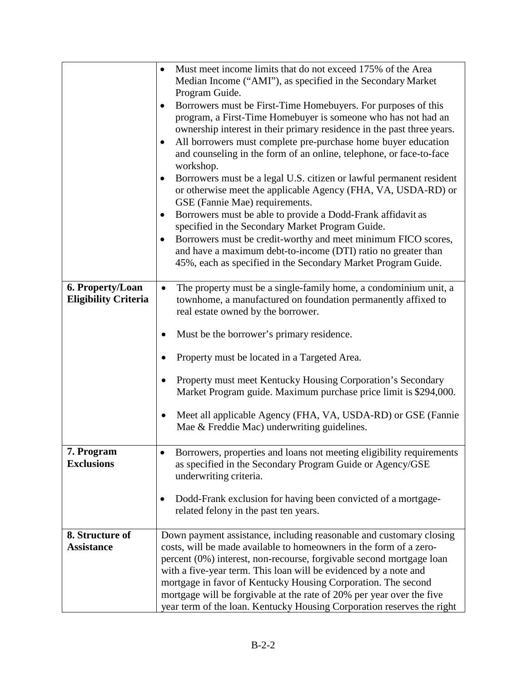|                                                 | Must meet income limits that do not exceed 175% of the Area<br>$\bullet$<br>Median Income ("AMI"), as specified in the Secondary Market<br>Program Guide.<br>Borrowers must be First-Time Homebuyers. For purposes of this<br>$\bullet$<br>program, a First-Time Homebuyer is someone who has not had an<br>ownership interest in their primary residence in the past three years.<br>All borrowers must complete pre-purchase home buyer education<br>$\bullet$<br>and counseling in the form of an online, telephone, or face-to-face<br>workshop.<br>Borrowers must be a legal U.S. citizen or lawful permanent resident<br>$\bullet$<br>or otherwise meet the applicable Agency (FHA, VA, USDA-RD) or<br>GSE (Fannie Mae) requirements.<br>Borrowers must be able to provide a Dodd-Frank affidavit as<br>$\bullet$<br>specified in the Secondary Market Program Guide.<br>Borrowers must be credit-worthy and meet minimum FICO scores,<br>$\bullet$<br>and have a maximum debt-to-income (DTI) ratio no greater than<br>45%, each as specified in the Secondary Market Program Guide. |
|-------------------------------------------------|---------------------------------------------------------------------------------------------------------------------------------------------------------------------------------------------------------------------------------------------------------------------------------------------------------------------------------------------------------------------------------------------------------------------------------------------------------------------------------------------------------------------------------------------------------------------------------------------------------------------------------------------------------------------------------------------------------------------------------------------------------------------------------------------------------------------------------------------------------------------------------------------------------------------------------------------------------------------------------------------------------------------------------------------------------------------------------------------|
| 6. Property/Loan<br><b>Eligibility Criteria</b> | The property must be a single-family home, a condominium unit, a<br>$\bullet$<br>townhome, a manufactured on foundation permanently affixed to<br>real estate owned by the borrower.<br>Must be the borrower's primary residence.<br>Property must be located in a Targeted Area.<br>Property must meet Kentucky Housing Corporation's Secondary<br>Market Program guide. Maximum purchase price limit is \$294,000.<br>Meet all applicable Agency (FHA, VA, USDA-RD) or GSE (Fannie<br>Mae & Freddie Mac) underwriting guidelines.                                                                                                                                                                                                                                                                                                                                                                                                                                                                                                                                                         |
| 7. Program<br><b>Exclusions</b>                 | Borrowers, properties and loans not meeting eligibility requirements<br>as specified in the Secondary Program Guide or Agency/GSE<br>underwriting criteria.<br>Dodd-Frank exclusion for having been convicted of a mortgage-<br>٠<br>related felony in the past ten years.                                                                                                                                                                                                                                                                                                                                                                                                                                                                                                                                                                                                                                                                                                                                                                                                                  |
| 8. Structure of<br><b>Assistance</b>            | Down payment assistance, including reasonable and customary closing<br>costs, will be made available to homeowners in the form of a zero-<br>percent (0%) interest, non-recourse, forgivable second mortgage loan<br>with a five-year term. This loan will be evidenced by a note and<br>mortgage in favor of Kentucky Housing Corporation. The second<br>mortgage will be forgivable at the rate of 20% per year over the five<br>year term of the loan. Kentucky Housing Corporation reserves the right                                                                                                                                                                                                                                                                                                                                                                                                                                                                                                                                                                                   |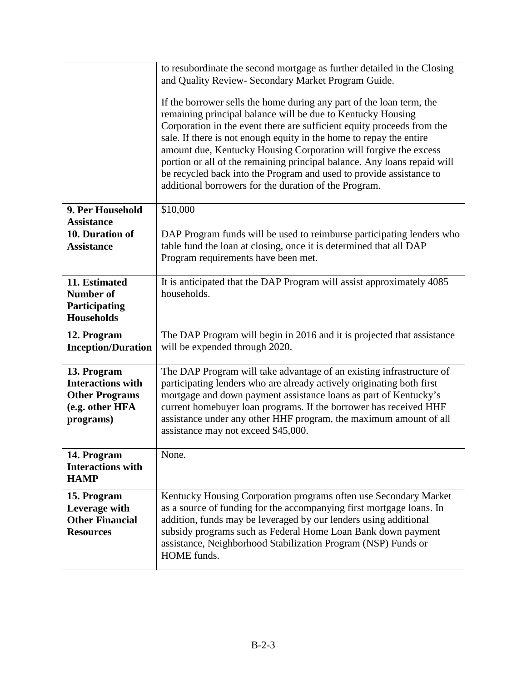|                                                                            | to resubordinate the second mortgage as further detailed in the Closing                                                                                                                                                                                                                                                                                                                                                                                                                                                                                              |
|----------------------------------------------------------------------------|----------------------------------------------------------------------------------------------------------------------------------------------------------------------------------------------------------------------------------------------------------------------------------------------------------------------------------------------------------------------------------------------------------------------------------------------------------------------------------------------------------------------------------------------------------------------|
|                                                                            | and Quality Review- Secondary Market Program Guide.                                                                                                                                                                                                                                                                                                                                                                                                                                                                                                                  |
|                                                                            | If the borrower sells the home during any part of the loan term, the<br>remaining principal balance will be due to Kentucky Housing<br>Corporation in the event there are sufficient equity proceeds from the<br>sale. If there is not enough equity in the home to repay the entire<br>amount due, Kentucky Housing Corporation will forgive the excess<br>portion or all of the remaining principal balance. Any loans repaid will<br>be recycled back into the Program and used to provide assistance to<br>additional borrowers for the duration of the Program. |
| 9. Per Household<br><b>Assistance</b>                                      | \$10,000                                                                                                                                                                                                                                                                                                                                                                                                                                                                                                                                                             |
| 10. Duration of                                                            | DAP Program funds will be used to reimburse participating lenders who                                                                                                                                                                                                                                                                                                                                                                                                                                                                                                |
| <b>Assistance</b>                                                          | table fund the loan at closing, once it is determined that all DAP                                                                                                                                                                                                                                                                                                                                                                                                                                                                                                   |
|                                                                            | Program requirements have been met.                                                                                                                                                                                                                                                                                                                                                                                                                                                                                                                                  |
| 11. Estimated                                                              | It is anticipated that the DAP Program will assist approximately 4085                                                                                                                                                                                                                                                                                                                                                                                                                                                                                                |
| <b>Number of</b>                                                           | households.                                                                                                                                                                                                                                                                                                                                                                                                                                                                                                                                                          |
| Participating<br><b>Households</b>                                         |                                                                                                                                                                                                                                                                                                                                                                                                                                                                                                                                                                      |
|                                                                            | The DAP Program will begin in 2016 and it is projected that assistance                                                                                                                                                                                                                                                                                                                                                                                                                                                                                               |
| 12. Program<br><b>Inception/Duration</b>                                   | will be expended through 2020.                                                                                                                                                                                                                                                                                                                                                                                                                                                                                                                                       |
|                                                                            |                                                                                                                                                                                                                                                                                                                                                                                                                                                                                                                                                                      |
| 13. Program                                                                | The DAP Program will take advantage of an existing infrastructure of                                                                                                                                                                                                                                                                                                                                                                                                                                                                                                 |
| <b>Interactions with</b>                                                   | participating lenders who are already actively originating both first<br>mortgage and down payment assistance loans as part of Kentucky's                                                                                                                                                                                                                                                                                                                                                                                                                            |
| <b>Other Programs</b><br>(e.g. other HFA                                   | current homebuyer loan programs. If the borrower has received HHF                                                                                                                                                                                                                                                                                                                                                                                                                                                                                                    |
| programs)                                                                  | assistance under any other HHF program, the maximum amount of all                                                                                                                                                                                                                                                                                                                                                                                                                                                                                                    |
|                                                                            | assistance may not exceed \$45,000.                                                                                                                                                                                                                                                                                                                                                                                                                                                                                                                                  |
| 14. Program                                                                | None.                                                                                                                                                                                                                                                                                                                                                                                                                                                                                                                                                                |
| <b>Interactions with</b>                                                   |                                                                                                                                                                                                                                                                                                                                                                                                                                                                                                                                                                      |
| <b>HAMP</b>                                                                |                                                                                                                                                                                                                                                                                                                                                                                                                                                                                                                                                                      |
| 15. Program<br>Leverage with<br><b>Other Financial</b><br><b>Resources</b> | Kentucky Housing Corporation programs often use Secondary Market<br>as a source of funding for the accompanying first mortgage loans. In<br>addition, funds may be leveraged by our lenders using additional<br>subsidy programs such as Federal Home Loan Bank down payment<br>assistance, Neighborhood Stabilization Program (NSP) Funds or<br>HOME funds.                                                                                                                                                                                                         |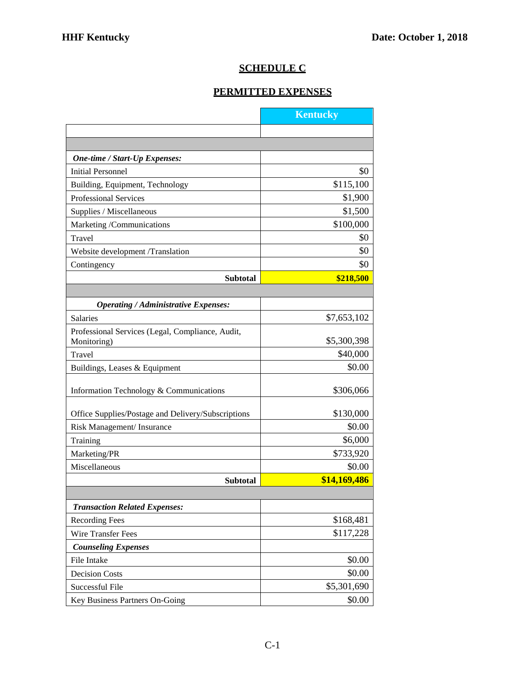# **SCHEDULE C**

# **PERMITTED EXPENSES**

|                                                    | <b>Kentucky</b> |
|----------------------------------------------------|-----------------|
|                                                    |                 |
|                                                    |                 |
| One-time / Start-Up Expenses:                      |                 |
| Initial Personnel                                  | \$0             |
| Building, Equipment, Technology                    | \$115,100       |
| <b>Professional Services</b>                       | \$1,900         |
| Supplies / Miscellaneous                           | \$1,500         |
| Marketing /Communications                          | \$100,000       |
| Travel                                             | \$0             |
| Website development /Translation                   | \$0             |
| Contingency                                        | \$0             |
| <b>Subtotal</b>                                    | \$218,500       |
|                                                    |                 |
| <b>Operating / Administrative Expenses:</b>        |                 |
| Salaries                                           | \$7,653,102     |
| Professional Services (Legal, Compliance, Audit,   |                 |
| Monitoring)                                        | \$5,300,398     |
| Travel                                             | \$40,000        |
| Buildings, Leases & Equipment                      | \$0.00          |
| Information Technology & Communications            | \$306,066       |
|                                                    |                 |
| Office Supplies/Postage and Delivery/Subscriptions | \$130,000       |
| Risk Management/ Insurance                         | \$0.00          |
| Training                                           | \$6,000         |
| Marketing/PR                                       | \$733,920       |
| Miscellaneous                                      | \$0.00          |
| <b>Subtotal</b>                                    | \$14,169,486    |
|                                                    |                 |
| <b>Transaction Related Expenses:</b>               |                 |
| <b>Recording Fees</b>                              | \$168,481       |
| Wire Transfer Fees                                 | \$117,228       |
| <b>Counseling Expenses</b>                         |                 |
| File Intake                                        | \$0.00          |
| <b>Decision Costs</b>                              | \$0.00          |
| Successful File                                    | \$5,301,690     |
| Key Business Partners On-Going                     | \$0.00          |